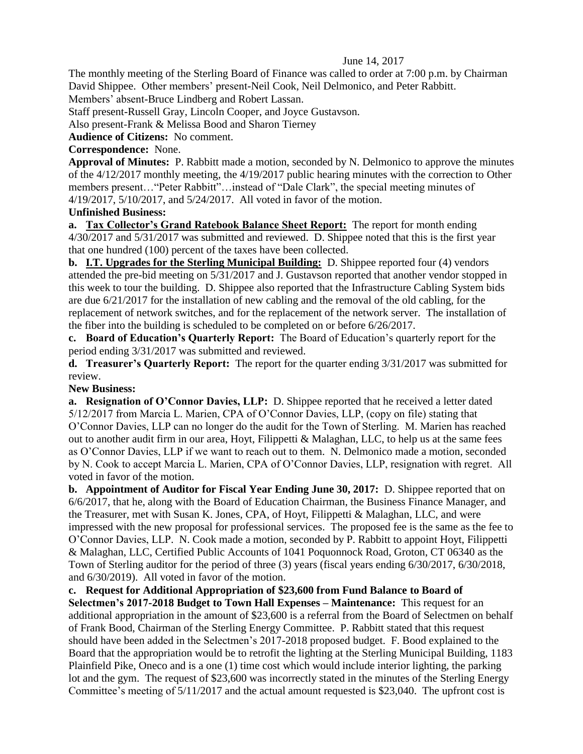## June 14, 2017

The monthly meeting of the Sterling Board of Finance was called to order at 7:00 p.m. by Chairman David Shippee. Other members' present-Neil Cook, Neil Delmonico, and Peter Rabbitt.

Members' absent-Bruce Lindberg and Robert Lassan.

Staff present-Russell Gray, Lincoln Cooper, and Joyce Gustavson.

Also present-Frank & Melissa Bood and Sharon Tierney

**Audience of Citizens:** No comment.

## **Correspondence:** None.

**Approval of Minutes:** P. Rabbitt made a motion, seconded by N. Delmonico to approve the minutes of the 4/12/2017 monthly meeting, the 4/19/2017 public hearing minutes with the correction to Other members present…"Peter Rabbitt"…instead of "Dale Clark", the special meeting minutes of 4/19/2017, 5/10/2017, and 5/24/2017. All voted in favor of the motion.

## **Unfinished Business:**

**a. Tax Collector's Grand Ratebook Balance Sheet Report:** The report for month ending 4/30/2017 and 5/31/2017 was submitted and reviewed. D. Shippee noted that this is the first year that one hundred (100) percent of the taxes have been collected.

**b. I.T. Upgrades for the Sterling Municipal Building:** D. Shippee reported four (4) vendors attended the pre-bid meeting on 5/31/2017 and J. Gustavson reported that another vendor stopped in this week to tour the building. D. Shippee also reported that the Infrastructure Cabling System bids are due 6/21/2017 for the installation of new cabling and the removal of the old cabling, for the replacement of network switches, and for the replacement of the network server. The installation of the fiber into the building is scheduled to be completed on or before 6/26/2017.

**c. Board of Education's Quarterly Report:** The Board of Education's quarterly report for the period ending 3/31/2017 was submitted and reviewed.

**d. Treasurer's Quarterly Report:** The report for the quarter ending 3/31/2017 was submitted for review.

## **New Business:**

**a. Resignation of O'Connor Davies, LLP:** D. Shippee reported that he received a letter dated 5/12/2017 from Marcia L. Marien, CPA of O'Connor Davies, LLP, (copy on file) stating that O'Connor Davies, LLP can no longer do the audit for the Town of Sterling. M. Marien has reached out to another audit firm in our area, Hoyt, Filippetti & Malaghan, LLC, to help us at the same fees as O'Connor Davies, LLP if we want to reach out to them. N. Delmonico made a motion, seconded by N. Cook to accept Marcia L. Marien, CPA of O'Connor Davies, LLP, resignation with regret. All voted in favor of the motion.

**b. Appointment of Auditor for Fiscal Year Ending June 30, 2017:** D. Shippee reported that on 6/6/2017, that he, along with the Board of Education Chairman, the Business Finance Manager, and the Treasurer, met with Susan K. Jones, CPA, of Hoyt, Filippetti & Malaghan, LLC, and were impressed with the new proposal for professional services. The proposed fee is the same as the fee to O'Connor Davies, LLP. N. Cook made a motion, seconded by P. Rabbitt to appoint Hoyt, Filippetti & Malaghan, LLC, Certified Public Accounts of 1041 Poquonnock Road, Groton, CT 06340 as the Town of Sterling auditor for the period of three (3) years (fiscal years ending 6/30/2017, 6/30/2018, and 6/30/2019). All voted in favor of the motion.

**c. Request for Additional Appropriation of \$23,600 from Fund Balance to Board of Selectmen's 2017-2018 Budget to Town Hall Expenses – Maintenance:** This request for an additional appropriation in the amount of \$23,600 is a referral from the Board of Selectmen on behalf of Frank Bood, Chairman of the Sterling Energy Committee. P. Rabbitt stated that this request should have been added in the Selectmen's 2017-2018 proposed budget. F. Bood explained to the Board that the appropriation would be to retrofit the lighting at the Sterling Municipal Building, 1183 Plainfield Pike, Oneco and is a one (1) time cost which would include interior lighting, the parking lot and the gym. The request of \$23,600 was incorrectly stated in the minutes of the Sterling Energy Committee's meeting of 5/11/2017 and the actual amount requested is \$23,040. The upfront cost is